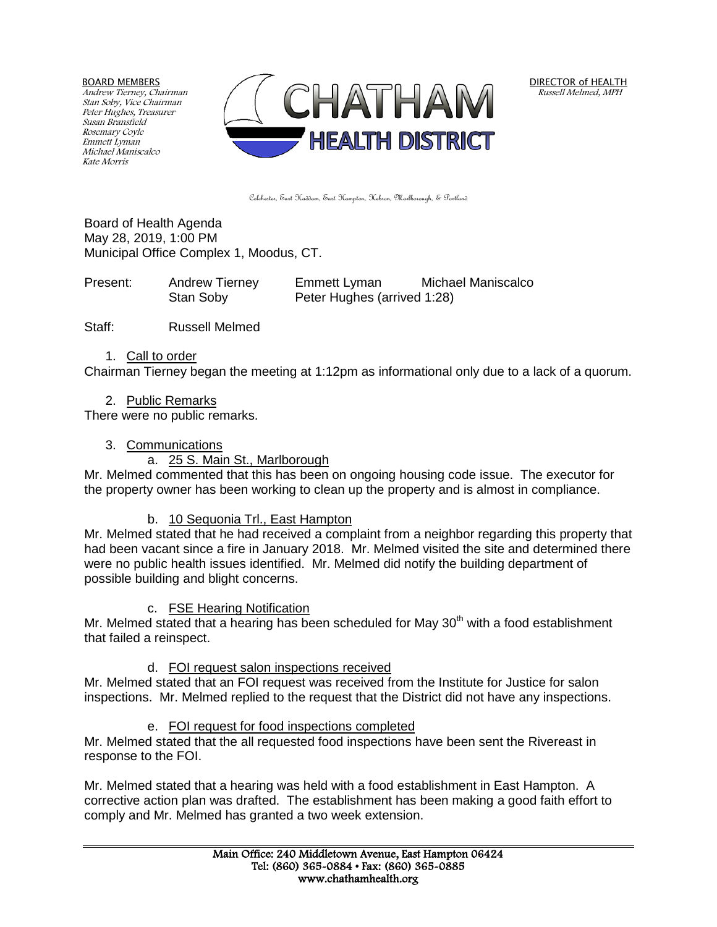BOARD MEMBERS

Andrew Tierney, Chairman Stan Soby, Vice Chairman Peter Hughes, Treasurer Susan Bransfield Rosemary Coyle Emmett Lyman Michael Maniscalco Kate Morris



DIRECTOR of HEALTH Russell Melmed, MPH

Colchester, East Haddam, East Hampton, Hebron, Marlborough, & Portland

Board of Health Agenda May 28, 2019, 1:00 PM Municipal Office Complex 1, Moodus, CT.

| Present: | <b>Andrew Tierney</b> | Emmett Lyman                | Michael Maniscalco |
|----------|-----------------------|-----------------------------|--------------------|
|          | Stan Soby             | Peter Hughes (arrived 1:28) |                    |

Staff: Russell Melmed

#### 1. Call to order

Chairman Tierney began the meeting at 1:12pm as informational only due to a lack of a quorum.

#### 2. Public Remarks

There were no public remarks.

### 3. Communications

#### a. 25 S. Main St., Marlborough

Mr. Melmed commented that this has been on ongoing housing code issue. The executor for the property owner has been working to clean up the property and is almost in compliance.

### b. 10 Sequonia Trl., East Hampton

Mr. Melmed stated that he had received a complaint from a neighbor regarding this property that had been vacant since a fire in January 2018. Mr. Melmed visited the site and determined there were no public health issues identified. Mr. Melmed did notify the building department of possible building and blight concerns.

### c. FSE Hearing Notification

Mr. Melmed stated that a hearing has been scheduled for May  $30<sup>th</sup>$  with a food establishment that failed a reinspect.

## d. FOI request salon inspections received

Mr. Melmed stated that an FOI request was received from the Institute for Justice for salon inspections. Mr. Melmed replied to the request that the District did not have any inspections.

### e. FOI request for food inspections completed

Mr. Melmed stated that the all requested food inspections have been sent the Rivereast in response to the FOI.

Mr. Melmed stated that a hearing was held with a food establishment in East Hampton. A corrective action plan was drafted. The establishment has been making a good faith effort to comply and Mr. Melmed has granted a two week extension.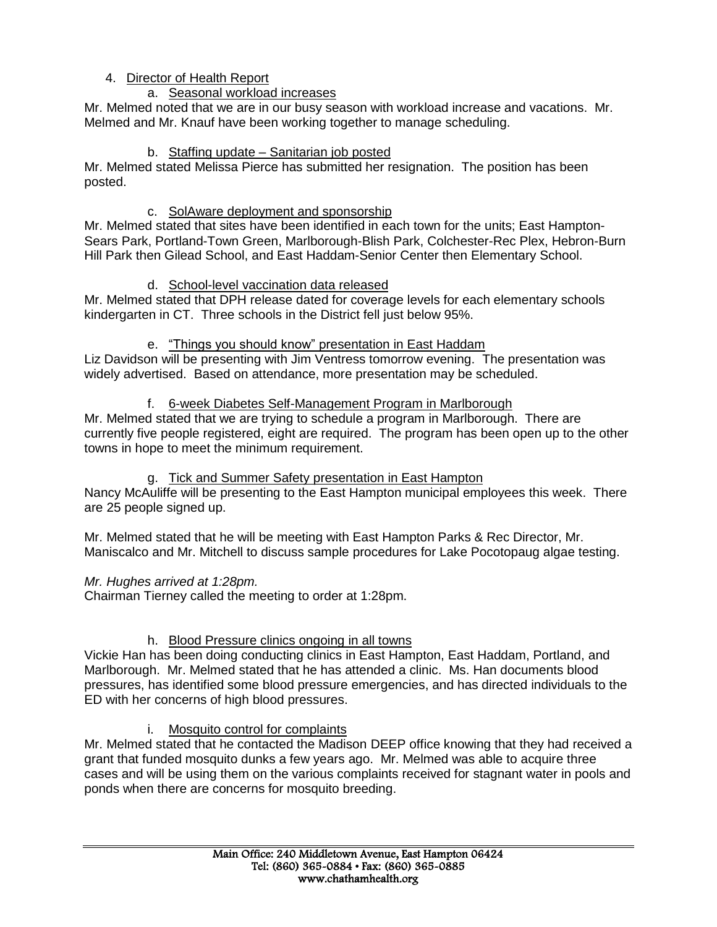## 4. Director of Health Report

## a. Seasonal workload increases

Mr. Melmed noted that we are in our busy season with workload increase and vacations. Mr. Melmed and Mr. Knauf have been working together to manage scheduling.

### b. Staffing update – Sanitarian job posted

Mr. Melmed stated Melissa Pierce has submitted her resignation. The position has been posted.

## c. SolAware deployment and sponsorship

Mr. Melmed stated that sites have been identified in each town for the units; East Hampton-Sears Park, Portland-Town Green, Marlborough-Blish Park, Colchester-Rec Plex, Hebron-Burn Hill Park then Gilead School, and East Haddam-Senior Center then Elementary School.

## d. School-level vaccination data released

Mr. Melmed stated that DPH release dated for coverage levels for each elementary schools kindergarten in CT. Three schools in the District fell just below 95%.

## e. "Things you should know" presentation in East Haddam

Liz Davidson will be presenting with Jim Ventress tomorrow evening. The presentation was widely advertised. Based on attendance, more presentation may be scheduled.

## f. 6-week Diabetes Self-Management Program in Marlborough

Mr. Melmed stated that we are trying to schedule a program in Marlborough. There are currently five people registered, eight are required. The program has been open up to the other towns in hope to meet the minimum requirement.

## g. Tick and Summer Safety presentation in East Hampton

Nancy McAuliffe will be presenting to the East Hampton municipal employees this week. There are 25 people signed up.

Mr. Melmed stated that he will be meeting with East Hampton Parks & Rec Director, Mr. Maniscalco and Mr. Mitchell to discuss sample procedures for Lake Pocotopaug algae testing.

## *Mr. Hughes arrived at 1:28pm.*

Chairman Tierney called the meeting to order at 1:28pm.

## h. Blood Pressure clinics ongoing in all towns

Vickie Han has been doing conducting clinics in East Hampton, East Haddam, Portland, and Marlborough. Mr. Melmed stated that he has attended a clinic. Ms. Han documents blood pressures, has identified some blood pressure emergencies, and has directed individuals to the ED with her concerns of high blood pressures.

## i. Mosquito control for complaints

Mr. Melmed stated that he contacted the Madison DEEP office knowing that they had received a grant that funded mosquito dunks a few years ago. Mr. Melmed was able to acquire three cases and will be using them on the various complaints received for stagnant water in pools and ponds when there are concerns for mosquito breeding.